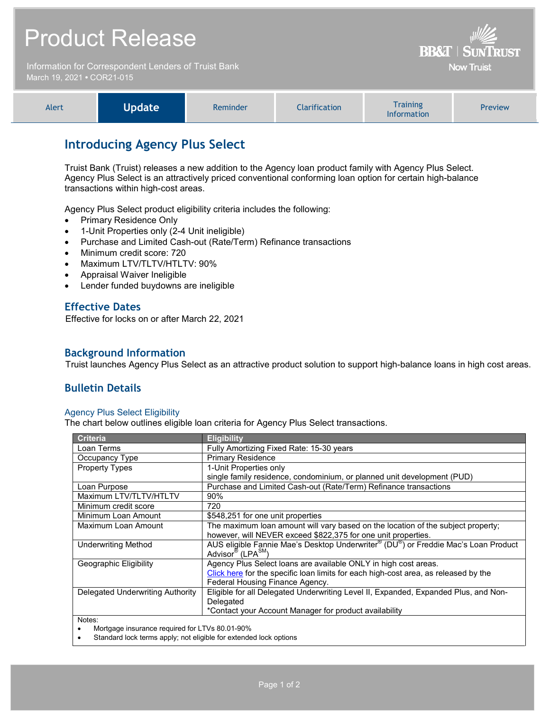|                                                                                    | <b>Product Release</b> | <b>BB&amp;T   SUNTRUST</b> |               |                                       |         |
|------------------------------------------------------------------------------------|------------------------|----------------------------|---------------|---------------------------------------|---------|
| Information for Correspondent Lenders of Truist Bank<br>March 19, 2021 • COR21-015 |                        |                            |               | <b>Now Truist</b>                     |         |
| Alert                                                                              | <b>Update</b>          | Reminder                   | Clarification | <b>Training</b><br><b>Information</b> | Preview |

## **Introducing Agency Plus Select**

Truist Bank (Truist) releases a new addition to the Agency loan product family with Agency Plus Select. Agency Plus Select is an attractively priced conventional conforming loan option for certain high-balance transactions within high-cost areas.

Agency Plus Select product eligibility criteria includes the following:

- Primary Residence Only
- 1-Unit Properties only (2-4 Unit ineligible)
- Purchase and Limited Cash-out (Rate/Term) Refinance transactions
- Minimum credit score: 720
- Maximum LTV/TLTV/HTLTV: 90%
- Appraisal Waiver Ineligible
- Lender funded buydowns are ineligible

## **Effective Dates**

Effective for locks on or after March 22, 2021

### **Background Information**

Truist launches Agency Plus Select as an attractive product solution to support high-balance loans in high cost areas.

## **Bulletin Details**

### Agency Plus Select Eligibility

The chart below outlines eligible loan criteria for Agency Plus Select transactions.

| <b>Criteria</b>                                | <b>Eligibility</b>                                                                  |  |  |  |
|------------------------------------------------|-------------------------------------------------------------------------------------|--|--|--|
| Loan Terms                                     | Fully Amortizing Fixed Rate: 15-30 years                                            |  |  |  |
| Occupancy Type                                 | <b>Primary Residence</b>                                                            |  |  |  |
| <b>Property Types</b>                          | 1-Unit Properties only                                                              |  |  |  |
|                                                | single family residence, condominium, or planned unit development (PUD)             |  |  |  |
| Loan Purpose                                   | Purchase and Limited Cash-out (Rate/Term) Refinance transactions                    |  |  |  |
| Maximum LTV/TLTV/HTLTV                         | $90\%$                                                                              |  |  |  |
| Minimum credit score                           | 720                                                                                 |  |  |  |
| Minimum Loan Amount                            | \$548,251 for one unit properties                                                   |  |  |  |
| Maximum Loan Amount                            | The maximum loan amount will vary based on the location of the subject property;    |  |  |  |
|                                                | however, will NEVER exceed \$822,375 for one unit properties.                       |  |  |  |
| <b>Underwriting Method</b>                     | AUS eligible Fannie Mae's Desktop Underwriter® (DU®) or Freddie Mac's Loan Product  |  |  |  |
|                                                | Advisor <sup>®</sup> (LPA <sup>SM</sup> )                                           |  |  |  |
| Geographic Eligibility                         | Agency Plus Select loans are available ONLY in high cost areas.                     |  |  |  |
|                                                | Click here for the specific loan limits for each high-cost area, as released by the |  |  |  |
|                                                | Federal Housing Finance Agency.                                                     |  |  |  |
| Delegated Underwriting Authority               | Eligible for all Delegated Underwriting Level II, Expanded, Expanded Plus, and Non- |  |  |  |
|                                                | Delegated                                                                           |  |  |  |
|                                                | *Contact your Account Manager for product availability                              |  |  |  |
| Notes:                                         |                                                                                     |  |  |  |
| Mortgage insurance required for LTVs 80.01-90% |                                                                                     |  |  |  |

Standard lock terms apply; not eligible for extended lock options